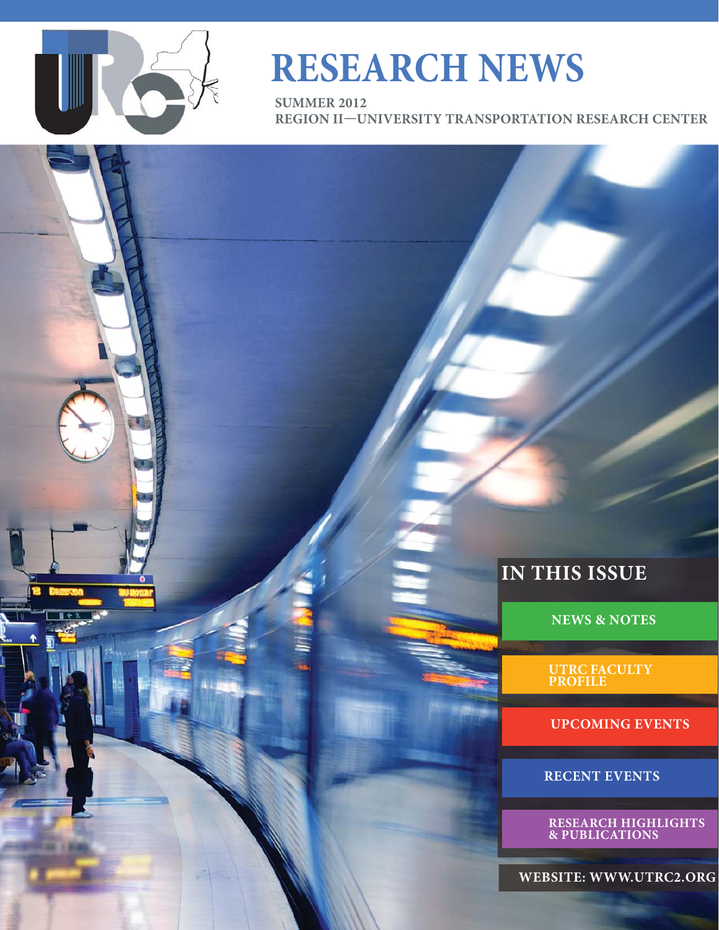

# **RESEARCH NEWS**

**SUMMER 2012 REGION II—UNIVERSITY TRANSPORTATION RESEARCH CENTER** 

### **IN THIS ISSUE**

**NEWS & NOTES**

**UTRC FACULTY PROFILE**

**UPCOMING EVENTS**

**RECENT EVENTS**

**RESEARCH HIGHLIGHTS & PUBLICATIONS** 

**WEBSITE: WWW.UTRC2.ORG**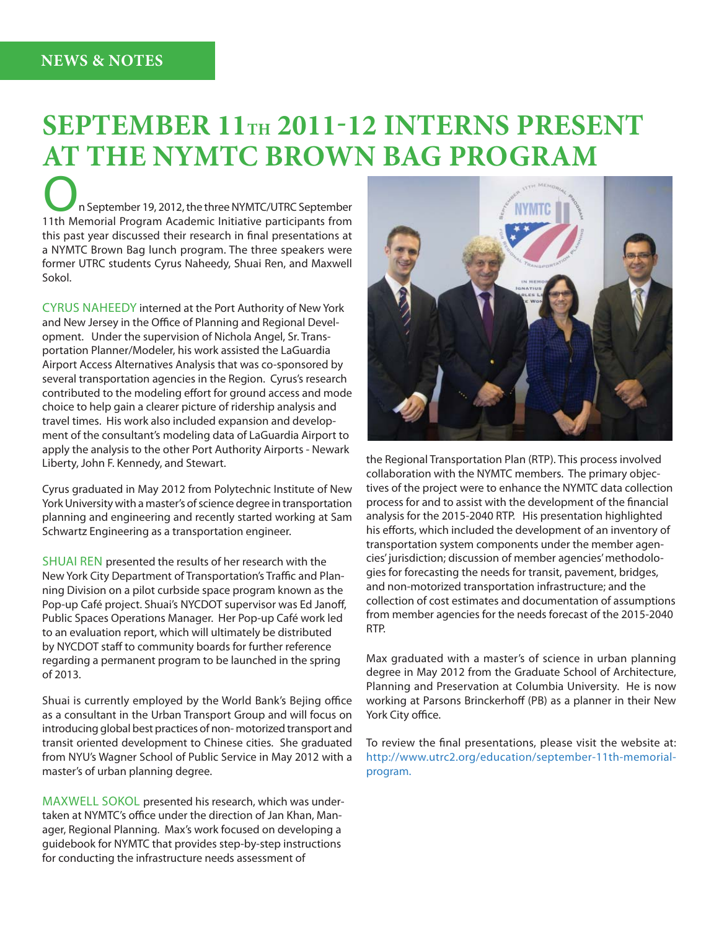# **SEPTEMBER 11TH 2011-12 INTERNS PRESENT AT THE NYMTC BROWN BAG PROGRAM**

n September 19, 2012, the three NYMTC/UTRC September 11th Memorial Program Academic Initiative participants from this past year discussed their research in final presentations at a NYMTC Brown Bag lunch program. The three speakers were former UTRC students Cyrus Naheedy, Shuai Ren, and Maxwell Sokol.

CYRUS NAHEEDY interned at the Port Authority of New York and New Jersey in the Office of Planning and Regional Development. Under the supervision of Nichola Angel, Sr. Transportation Planner/Modeler, his work assisted the LaGuardia Airport Access Alternatives Analysis that was co-sponsored by several transportation agencies in the Region. Cyrus's research contributed to the modeling effort for ground access and mode choice to help gain a clearer picture of ridership analysis and travel times. His work also included expansion and development of the consultant's modeling data of LaGuardia Airport to apply the analysis to the other Port Authority Airports - Newark Liberty, John F. Kennedy, and Stewart.

Cyrus graduated in May 2012 from Polytechnic Institute of New York University with a master's of science degree in transportation planning and engineering and recently started working at Sam Schwartz Engineering as a transportation engineer.

SHUAI REN presented the results of her research with the New York City Department of Transportation's Traffic and Planning Division on a pilot curbside space program known as the Pop-up Café project. Shuai's NYCDOT supervisor was Ed Janoff, Public Spaces Operations Manager. Her Pop-up Café work led to an evaluation report, which will ultimately be distributed by NYCDOT staff to community boards for further reference regarding a permanent program to be launched in the spring of 2013.

Shuai is currently employed by the World Bank's Bejing office as a consultant in the Urban Transport Group and will focus on introducing global best practices of non- motorized transport and transit oriented development to Chinese cities. She graduated from NYU's Wagner School of Public Service in May 2012 with a master's of urban planning degree.

MAXWELL SOKOL presented his research, which was undertaken at NYMTC's office under the direction of Jan Khan, Manager, Regional Planning. Max's work focused on developing a guidebook for NYMTC that provides step-by-step instructions for conducting the infrastructure needs assessment of



the Regional Transportation Plan (RTP). This process involved collaboration with the NYMTC members. The primary objectives of the project were to enhance the NYMTC data collection process for and to assist with the development of the financial analysis for the 2015-2040 RTP. His presentation highlighted his efforts, which included the development of an inventory of transportation system components under the member agencies' jurisdiction; discussion of member agencies' methodologies for forecasting the needs for transit, pavement, bridges, and non-motorized transportation infrastructure; and the collection of cost estimates and documentation of assumptions from member agencies for the needs forecast of the 2015-2040 RTP.

Max graduated with a master's of science in urban planning degree in May 2012 from the Graduate School of Architecture, Planning and Preservation at Columbia University. He is now working at Parsons Brinckerhoff (PB) as a planner in their New York City office.

To review the final presentations, please visit the website at: http://www.utrc2.org/education/september-11th-memorialprogram.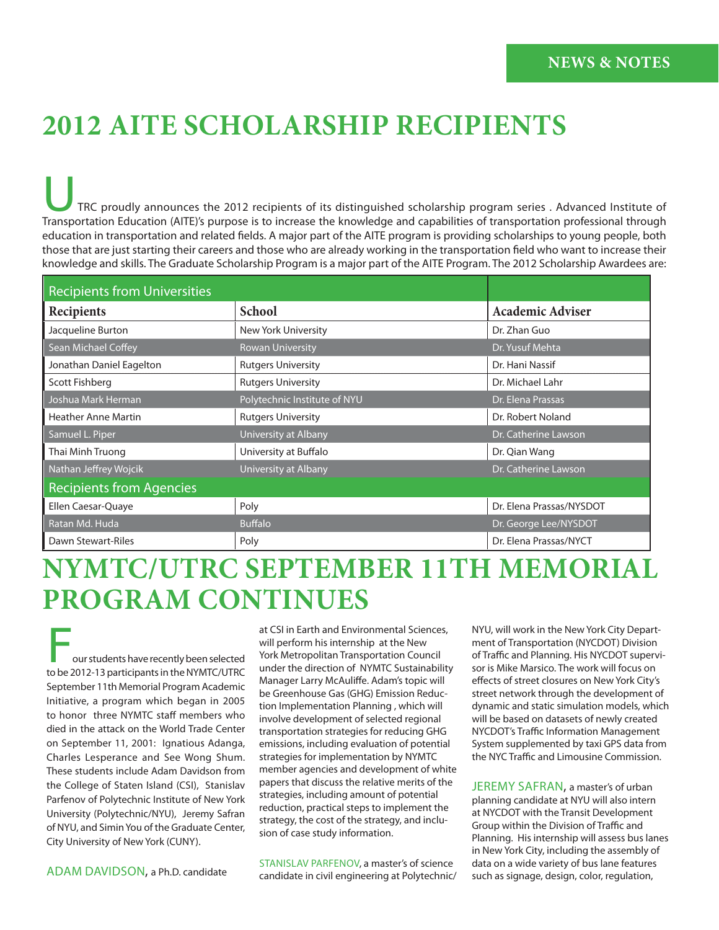# **2012 AITE SCHOLARSHIP RECIPIENTS**

TRC proudly announces the 2012 recipients of its distinguished scholarship program series . Advanced Institute of Transportation Education (AITE)'s purpose is to increase the knowledge and capabilities of transportation professional through education in transportation and related fields. A major part of the AITE program is providing scholarships to young people, both those that are just starting their careers and those who are already working in the transportation field who want to increase their knowledge and skills. The Graduate Scholarship Program is a major part of the AITE Program. The 2012 Scholarship Awardees are:

| <b>Recipients from Universities</b> |                              |                          |
|-------------------------------------|------------------------------|--------------------------|
| <b>Recipients</b>                   | <b>School</b>                | Academic Adviser         |
| Jacqueline Burton                   | New York University          | Dr. Zhan Guo             |
| Sean Michael Coffey                 | <b>Rowan University</b>      | Dr. Yusuf Mehta          |
| Jonathan Daniel Eagelton            | <b>Rutgers University</b>    | Dr. Hani Nassif          |
| Scott Fishberg                      | <b>Rutgers University</b>    | Dr. Michael Lahr         |
| Joshua Mark Herman                  | Polytechnic Institute of NYU | Dr. Elena Prassas        |
| <b>Heather Anne Martin</b>          | <b>Rutgers University</b>    | Dr. Robert Noland        |
| Samuel L. Piper                     | University at Albany         | Dr. Catherine Lawson     |
| Thai Minh Truong                    | University at Buffalo        | Dr. Qian Wang            |
| Nathan Jeffrey Wojcik               | University at Albany         | Dr. Catherine Lawson     |
| <b>Recipients from Agencies</b>     |                              |                          |
| Ellen Caesar-Quaye                  | Poly                         | Dr. Elena Prassas/NYSDOT |
| Ratan Md. Huda                      | <b>Buffalo</b>               | Dr. George Lee/NYSDOT    |
| Dawn Stewart-Riles                  | Poly                         | Dr. Elena Prassas/NYCT   |

# **NYMTC/UTRC SEPTEMBER 11TH MEMORIAL PROGRAM CONTINUES**

our students have recently been selected to be 2012-13 participants in the NYMTC/UTRC September 11th Memorial Program Academic Initiative, a program which began in 2005 to honor three NYMTC staff members who died in the attack on the World Trade Center on September 11, 2001: Ignatious Adanga, Charles Lesperance and See Wong Shum. These students include Adam Davidson from the College of Staten Island (CSI), Stanislav Parfenov of Polytechnic Institute of New York University (Polytechnic/NYU), Jeremy Safran of NYU, and Simin You of the Graduate Center, City University of New York (CUNY).

at CSI in Earth and Environmental Sciences, will perform his internship at the New York Metropolitan Transportation Council under the direction of NYMTC Sustainability Manager Larry McAuliffe. Adam's topic will be Greenhouse Gas (GHG) Emission Reduction Implementation Planning , which will involve development of selected regional transportation strategies for reducing GHG emissions, including evaluation of potential strategies for implementation by NYMTC member agencies and development of white papers that discuss the relative merits of the strategies, including amount of potential reduction, practical steps to implement the strategy, the cost of the strategy, and inclusion of case study information.

STANISLAV PARFENOV, a master's of science candidate in civil engineering at Polytechnic/

NYU, will work in the New York City Department of Transportation (NYCDOT) Division of Traffic and Planning. His NYCDOT supervisor is Mike Marsico. The work will focus on effects of street closures on New York City's street network through the development of dynamic and static simulation models, which will be based on datasets of newly created NYCDOT's Traffic Information Management System supplemented by taxi GPS data from the NYC Traffic and Limousine Commission.

JEREMY SAFRAN, a master's of urban planning candidate at NYU will also intern at NYCDOT with the Transit Development Group within the Division of Traffic and Planning. His internship will assess bus lanes in New York City, including the assembly of data on a wide variety of bus lane features such as signage, design, color, regulation,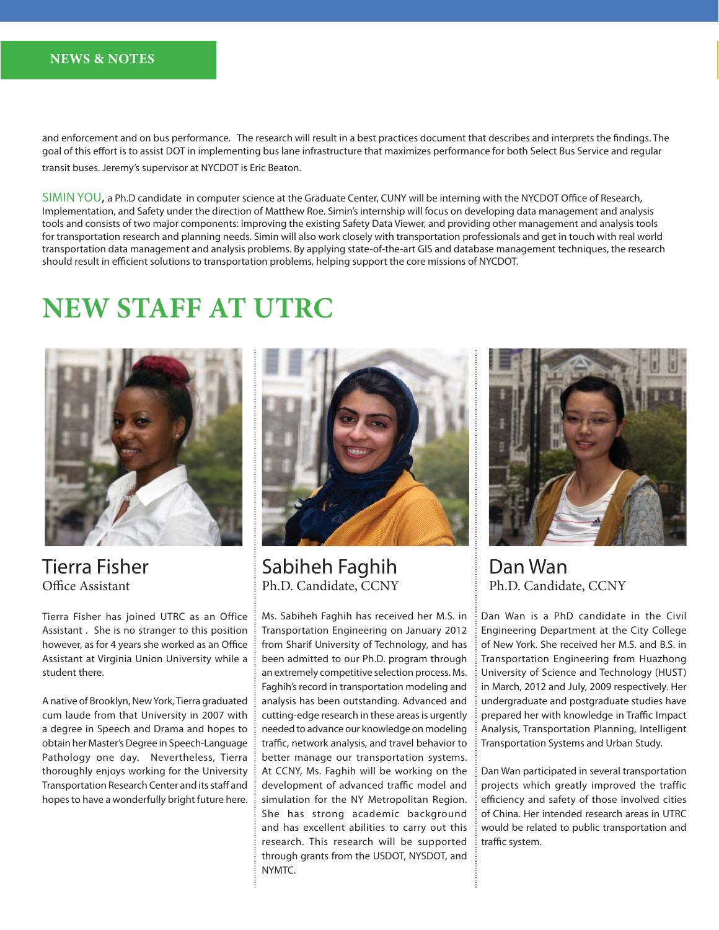#### **NEWS & NOTES**

and enforcement and on bus performance. The research will result in a best practices document that describes and interprets the findings. The goal of this effort is to assist DOT in implementing bus lane infrastructure that maximizes performance for both Select Bus Service and regular transit buses. Jeremy's supervisor at NYCDOT is Eric Beaton.

 $SIMIN YOU$ , a Ph.D candidate in computer science at the Graduate Center, CUNY will be interning with the NYCDOT Office of Research, Implementation, and Safety under the direction of Matthew Roe. Simin's internship will focus on developing data management and analysis tools and consists of two major components: improving the existing Safety Data Viewer, and providing other management and analysis tools for transportation research and planning needs. Simin will also work closely with transportation professionals and get in touch with real world transportation data management and analysis problems. By applying state-of-the-art GIS and database management techniques, the research should result in efficient solutions to transportation problems, helping support the core missions of NYCDOT.

## **NEW STAFF AT UTRC**



Tierra Fisher Office Assistant

Tierra Fisher has joined UTRC as an Office Assistant . She is no stranger to this position however, as for 4 years she worked as an Office Assistant at Virginia Union University while a student there.

A native of Brooklyn, New York, Tierra graduated cum laude from that University in 2007 with a degree in Speech and Drama and hopes to obtain her Master's Degree in Speech-Language Pathology one day. Nevertheless, Tierra thoroughly enjoys working for the University Transportation Research Center and its staff and hopes to have a wonderfully bright future here.



Sabiheh Faghih Ph.D. Candidate, CCNY

Ms. Sabiheh Faghih has received her M.S. in Transportation Engineering on January 2012 from Sharif University of Technology, and has been admitted to our Ph.D. program through an extremely competitive selection process. Ms. Faghih's record in transportation modeling and analysis has been outstanding. Advanced and cutting-edge research in these areas is urgently needed to advance our knowledge on modeling traffic, network analysis, and travel behavior to better manage our transportation systems. At CCNY, Ms. Faghih will be working on the development of advanced traffic model and simulation for the NY Metropolitan Region. She has strong academic background and has excellent abilities to carry out this research. This research will be supported through grants from the USDOT, NYSDOT, and NYMTC.



Dan Wan Ph.D. Candidate, CCNY

Dan Wan is a PhD candidate in the Civil Engineering Department at the City College of New York. She received her M.S. and B.S. in Transportation Engineering from Huazhong University of Science and Technology (HUST) in March, 2012 and July, 2009 respectively. Her undergraduate and postgraduate studies have prepared her with knowledge in Traffic Impact Analysis, Transportation Planning, Intelligent Transportation Systems and Urban Study.

Dan Wan participated in several transportation projects which greatly improved the traffic efficiency and safety of those involved cities of China. Her intended research areas in UTRC would be related to public transportation and traffic system.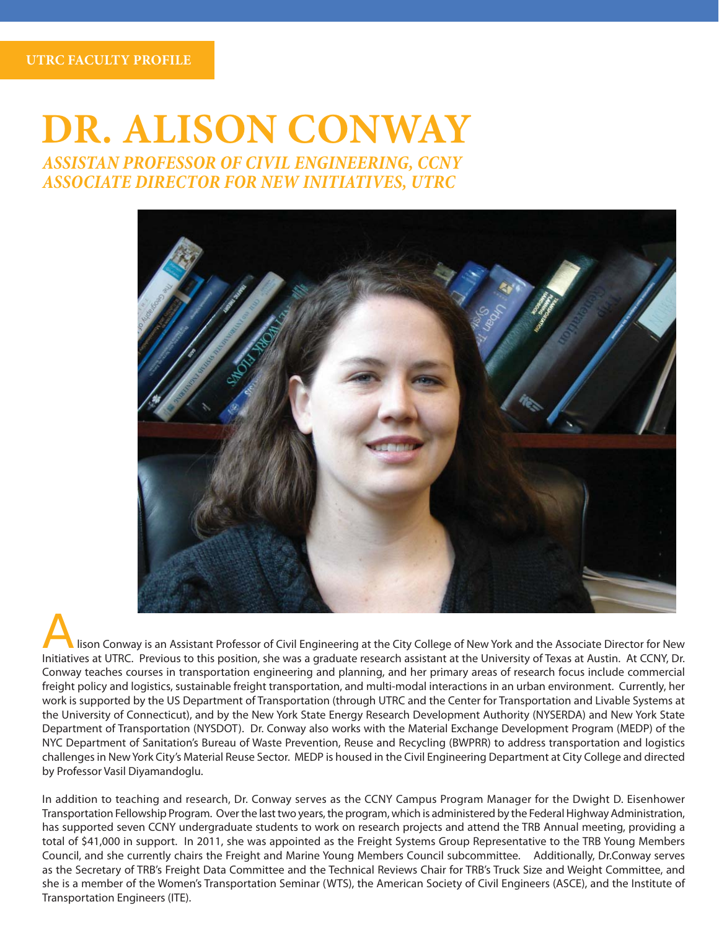**UTRC FACULTY PROFILE**

# **DR. ALISON CONWAY** *ASSISTAN PROFESSOR OF CIVIL ENGINEERING, CCNY*

*ASSOCIATE DIRECTOR FOR NEW INITIATIVES, UTRC*



lison Conway is an Assistant Professor of Civil Engineering at the City College of New York and the Associate Director for New Initiatives at UTRC. Previous to this position, she was a graduate research assistant at the University of Texas at Austin. At CCNY, Dr. Conway teaches courses in transportation engineering and planning, and her primary areas of research focus include commercial freight policy and logistics, sustainable freight transportation, and multi-modal interactions in an urban environment. Currently, her work is supported by the US Department of Transportation (through UTRC and the Center for Transportation and Livable Systems at the University of Connecticut), and by the New York State Energy Research Development Authority (NYSERDA) and New York State Department of Transportation (NYSDOT). Dr. Conway also works with the Material Exchange Development Program (MEDP) of the NYC Department of Sanitation's Bureau of Waste Prevention, Reuse and Recycling (BWPRR) to address transportation and logistics challenges in New York City's Material Reuse Sector. MEDP is housed in the Civil Engineering Department at City College and directed by Professor Vasil Diyamandoglu.

In addition to teaching and research, Dr. Conway serves as the CCNY Campus Program Manager for the Dwight D. Eisenhower Transportation Fellowship Program. Over the last two years, the program, which is administered by the Federal Highway Administration, has supported seven CCNY undergraduate students to work on research projects and attend the TRB Annual meeting, providing a total of \$41,000 in support. In 2011, she was appointed as the Freight Systems Group Representative to the TRB Young Members Council, and she currently chairs the Freight and Marine Young Members Council subcommittee. Additionally, Dr.Conway serves as the Secretary of TRB's Freight Data Committee and the Technical Reviews Chair for TRB's Truck Size and Weight Committee, and she is a member of the Women's Transportation Seminar (WTS), the American Society of Civil Engineers (ASCE), and the Institute of Transportation Engineers (ITE).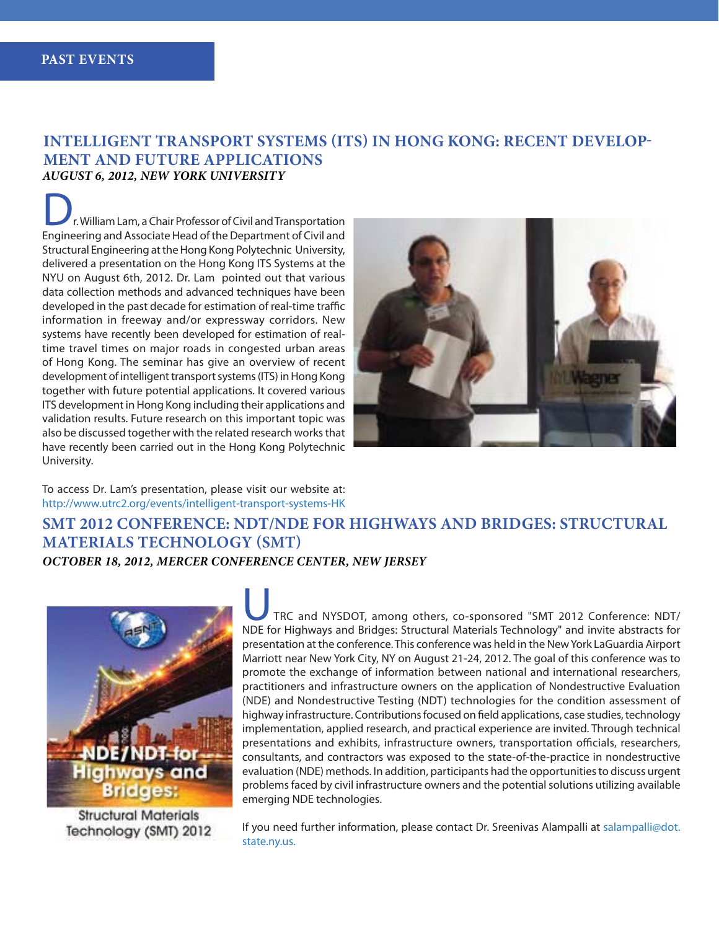#### **INTELLIGENT TRANSPORT SYSTEMS (ITS) IN HONG KONG: RECENT DEVELOP-MENT AND FUTURE APPLICATIONS** *AUGUST 6, 2012, NEW YORK UNIVERSITY*

r. William Lam, a Chair Professor of Civil and Transportation Engineering and Associate Head of the Department of Civil and Structural Engineering at the Hong Kong Polytechnic University, delivered a presentation on the Hong Kong ITS Systems at the NYU on August 6th, 2012. Dr. Lam pointed out that various data collection methods and advanced techniques have been developed in the past decade for estimation of real-time traffic information in freeway and/or expressway corridors. New systems have recently been developed for estimation of realtime travel times on major roads in congested urban areas of Hong Kong. The seminar has give an overview of recent development of intelligent transport systems (ITS) in Hong Kong together with future potential applications. It covered various ITS development in Hong Kong including their applications and validation results. Future research on this important topic was also be discussed together with the related research works that have recently been carried out in the Hong Kong Polytechnic University.



To access Dr. Lam's presentation, please visit our website at: http://www.utrc2.org/events/intelligent-transport-systems-HK

#### **SMT 2012 CONFERENCE: NDT/NDE FOR HIGHWAYS AND BRIDGES: STRUCTURAL MATERIALS TECHNOLOGY (SMT)**  *OCTOBER 18, 2012, MERCER CONFERENCE CENTER, NEW JERSEY*



**Structural Materials** Technology (SMT) 2012

TRC and NYSDOT, among others, co-sponsored "SMT 2012 Conference: NDT/ NDE for Highways and Bridges: Structural Materials Technology" and invite abstracts for presentation at the conference. This conference was held in the New York LaGuardia Airport Marriott near New York City, NY on August 21-24, 2012. The goal of this conference was to promote the exchange of information between national and international researchers, practitioners and infrastructure owners on the application of Nondestructive Evaluation (NDE) and Nondestructive Testing (NDT) technologies for the condition assessment of highway infrastructure. Contributions focused on field applications, case studies, technology implementation, applied research, and practical experience are invited. Through technical presentations and exhibits, infrastructure owners, transportation officials, researchers, consultants, and contractors was exposed to the state-of-the-practice in nondestructive evaluation (NDE) methods. In addition, participants had the opportunities to discuss urgent problems faced by civil infrastructure owners and the potential solutions utilizing available emerging NDE technologies.

If you need further information, please contact Dr. Sreenivas Alampalli at salampalli@dot. state.ny.us.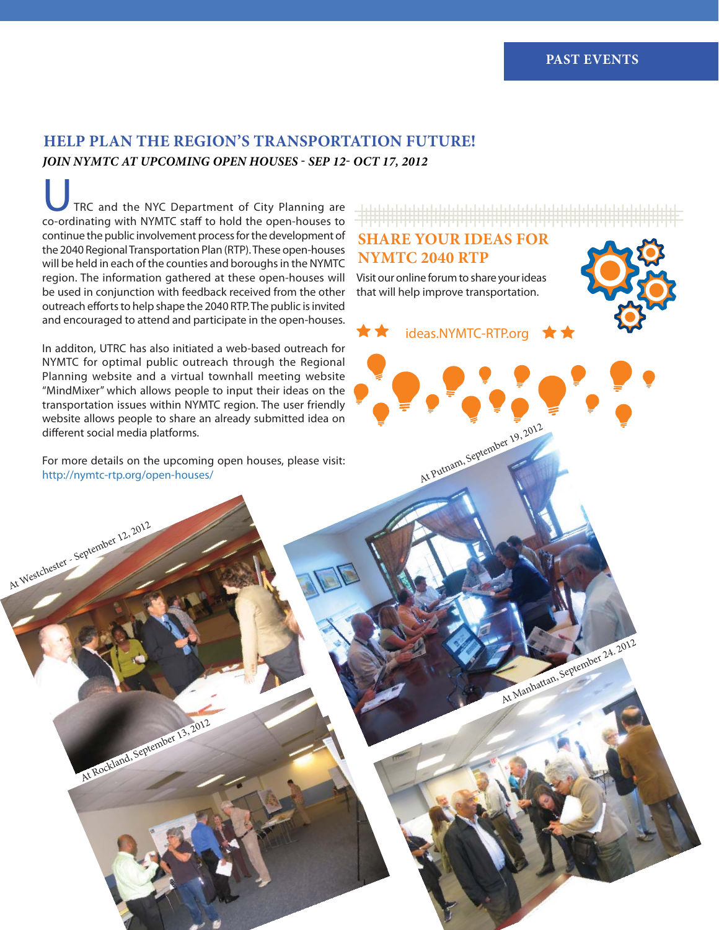### **HELP PLAN THE REGION'S TRANSPORTATION FUTURE!** *JOIN NYMTC AT UPCOMING OPEN HOUSES - SEP 12- OCT 17, 2012*

TRC and the NYC Department of City Planning are co-ordinating with NYMTC staff to hold the open-houses to continue the public involvement process for the development of the 2040 Regional Transportation Plan (RTP). These open-houses will be held in each of the counties and boroughs in the NYMTC region. The information gathered at these open-houses will be used in conjunction with feedback received from the other outreach efforts to help shape the 2040 RTP. The public is invited and encouraged to attend and participate in the open-houses.

In additon, UTRC has also initiated a web-based outreach for NYMTC for optimal public outreach through the Regional Planning website and a virtual townhall meeting website "MindMixer" which allows people to input their ideas on the transportation issues within NYMTC region. The user friendly website allows people to share an already submitted idea on different social media platforms.

For more details on the upcoming open houses, please visit: http://nymtc-rtp.org/open-houses/

At Westchester - September 12, 2012

At Rockland, September 13, 2012

### **SHARE YOUR IDEAS FOR NYMTC 2040 RTP**

Visit our online forum to share your ideas that will help improve transportation.

ideas.NYMTC-RTP.org

At Putnam, September 19, 2012

At Manhattan, September 24. 2012

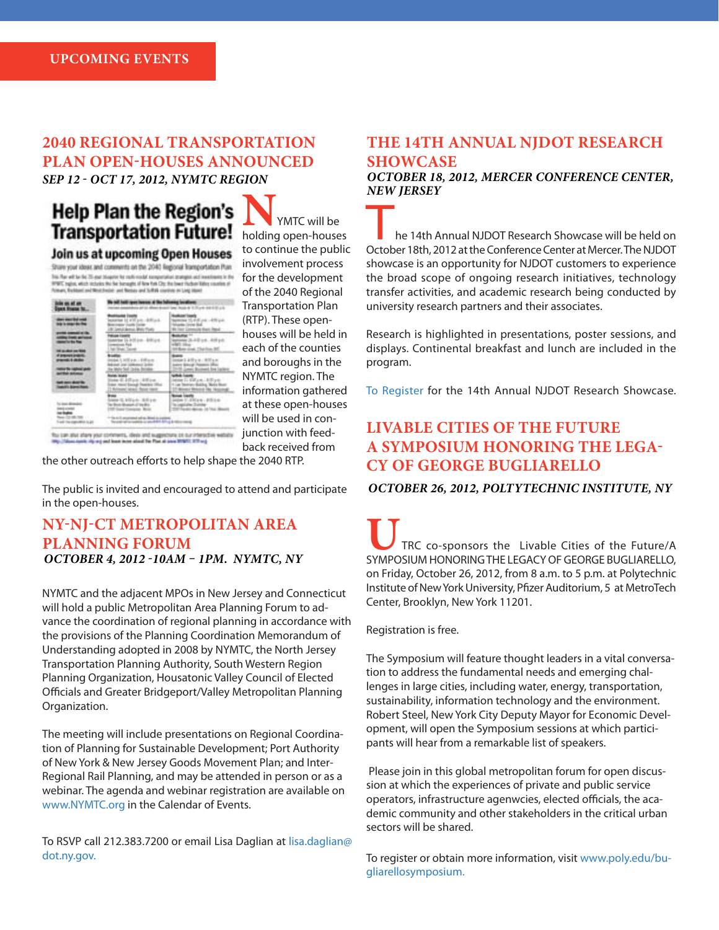### **2040 REGIONAL TRANSPORTATION PLAN OPEN-HOUSES ANNOUNCED** *SEP 12 - OCT 17, 2012, NYMTC REGION*

Join us at upcoming Open Houses Share your ideas and constents on the 2040 Regional framportation Plan In The will be fel. 35 year blogster for really could increase also proteges and investment in the WWE topics, which includes the for beneater of firm fully City. On lower Hydran Killey counties of<br>Notices, Barbband and Mentchester, and Notices and NoROR countries on Long Island

| isin as af an<br>Iyan Nuwar Iv                                                       | wer income. At the<br>c book & Chart and Grant                                                                        |                                                                                                                         |  |
|--------------------------------------------------------------------------------------|-----------------------------------------------------------------------------------------------------------------------|-------------------------------------------------------------------------------------------------------------------------|--|
|                                                                                      | <b>CONTRACTOR</b> AND INCOME.<br>perchaster thanks Carlos<br>9 Januar Brench, Minn, Florid                            | between 15 KB coll - 450 p.m.<br><b>Woods living Bull</b><br>We line! Limmuity than 1964.                               |  |
| <b>CONTRACTOR</b>                                                                    | <b>Tokical Lisarro</b><br>Material 14-3-20 pm - ANTI pm<br>within Feb.<br>Million Terror                              | <b>Building</b><br>Service 26-4-8 u.m., A.M. a.<br>what's likes-<br>55 Bott Load, That fine, \$6                        |  |
| <b>DE JE JEST DE TERE</b><br><b><i>PERSONAL BRANCH</i></b><br><b>MOVED IN COLUMN</b> | that I ATE a to - Efficers<br><b>And Up URnot later</b><br>to Mahy Soli (take Shinka)                                 | 2010/07/12 12:30 p.m.<br>paint Mood Public (Ro-<br>10 Lees Bureet for laters                                            |  |
| atar De Ingland<br>Lithag an Anna<br>----<br><b>Mills American</b>                   | <b>NAME AND ADDRESS</b><br>tops 6.20 p.p. 60 p.p.<br>are more basical Passions 100<br>1 Arizonal salary. Buice travel | <b>White Issues</b><br>Mole II Alfan - Ellipto<br>4 Lat. Section-Bubby, Motiv Road<br>17-Mineral Mexico of The Thousand |  |
| 1 DOI BONDO                                                                          | <b>MM 12, 615 p.m. 3270 p.m.</b><br>ar Bend (Brasiler) of the Bits.<br><b>THE Grand Convenier, Bride</b>              | <b>Book Cards</b><br>point 11.4 Mark - \$1510 to<br>to impliate Survey<br>TOTAL ALL ALLA LETTER MAIN                    |  |
| <b>Conservation In Ad</b>                                                            | <sup>4</sup> The still assumed on an illinoid in Legis-<br>Twenty of terminia is send for \$75.4 to the count         |                                                                                                                         |  |

**N**<br> **WATC** will be holding open-houses to continue the public involvement process for the development of the 2040 Regional Transportation Plan (RTP). These openhouses will be held in each of the counties and boroughs in the NYMTC region. The information gathered at these open-houses will be used in conjunction with feedback received from

19g; Vilen next: Ap a g and least score about The Plan at once 979/11 377-urg

the other outreach efforts to help shape the 2040 RTP.

The public is invited and encouraged to attend and participate in the open-houses.

#### **NY-NJ-CT METROPOLITAN AREA PLANNING FORUM**  *OCTOBER 4, 2012 -10AM – 1PM. NYMTC, NY*

NYMTC and the adjacent MPOs in New Jersey and Connecticut will hold a public Metropolitan Area Planning Forum to advance the coordination of regional planning in accordance with the provisions of the Planning Coordination Memorandum of Understanding adopted in 2008 by NYMTC, the North Jersey Transportation Planning Authority, South Western Region Planning Organization, Housatonic Valley Council of Elected Officials and Greater Bridgeport/Valley Metropolitan Planning Organization.

The meeting will include presentations on Regional Coordination of Planning for Sustainable Development; Port Authority of New York & New Jersey Goods Movement Plan; and Inter-Regional Rail Planning, and may be attended in person or as a webinar. The agenda and webinar registration are available on www.NYMTC.org in the Calendar of Events.

To RSVP call 212.383.7200 or email Lisa Daglian at lisa.daglian@ dot.ny.gov.

#### **THE 14TH ANNUAL NJDOT RESEARCH SHOWCASE**

*OCTOBER 18, 2012, MERCER CONFERENCE CENTER, NEW JERSEY*

he 14th Annual NJDOT Research Showcase will be held on October 18th, 2012 at the Conference Center at Mercer. The NJDOT showcase is an opportunity for NJDOT customers to experience the broad scope of ongoing research initiatives, technology transfer activities, and academic research being conducted by university research partners and their associates.

Research is highlighted in presentations, poster sessions, and displays. Continental breakfast and lunch are included in the program.

To Register for the 14th Annual NJDOT Research Showcase.

### **LIVABLE CITIES OF THE FUTURE A SYMPOSIUM HONORING THE LEGA-CY OF GEORGE BUGLIARELLO**

*OCTOBER 26, 2012, POLTYTECHNIC INSTITUTE, NY*

**U**TRC co-sponsors the Livable Cities of the Future/A SYMPOSIUM HONORING THE LEGACY OF GEORGE BUGLIARELLO, on Friday, October 26, 2012, from 8 a.m. to 5 p.m. at Polytechnic Institute of New York University, Pfizer Auditorium, 5 at MetroTech Center, Brooklyn, New York 11201.

Registration is free.

The Symposium will feature thought leaders in a vital conversation to address the fundamental needs and emerging challenges in large cities, including water, energy, transportation, sustainability, information technology and the environment. Robert Steel, New York City Deputy Mayor for Economic Development, will open the Symposium sessions at which participants will hear from a remarkable list of speakers.

 Please join in this global metropolitan forum for open discussion at which the experiences of private and public service operators, infrastructure agenwcies, elected officials, the academic community and other stakeholders in the critical urban sectors will be shared.

To register or obtain more information, visit www.poly.edu/bugliarellosymposium.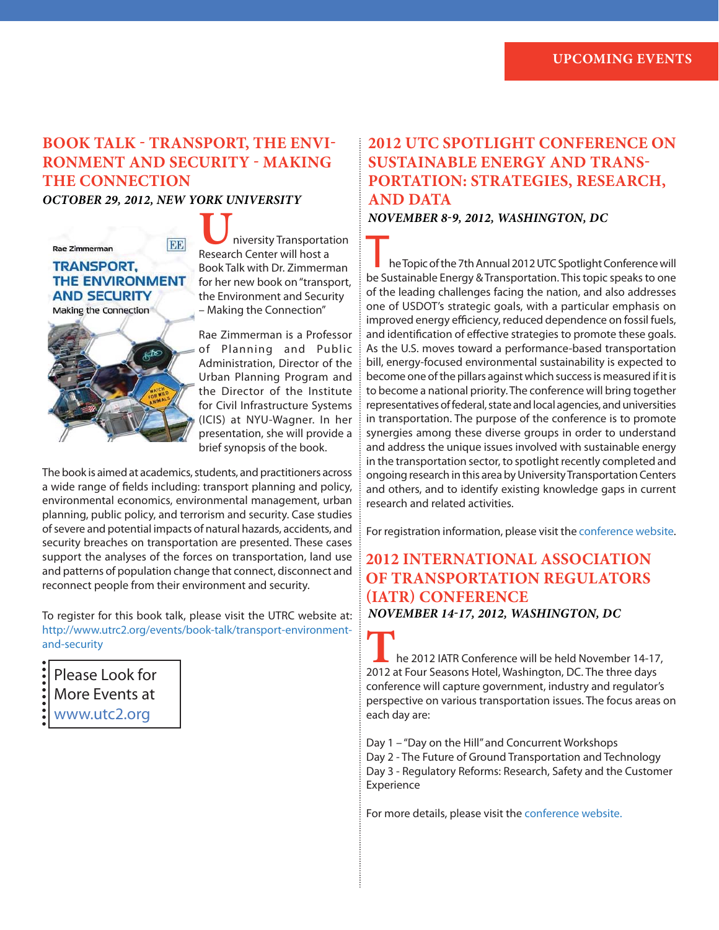### **BOOK TALK - TRANSPORT, THE ENVI-RONMENT AND SECURITY - MAKING THE CONNECTION**

*OCTOBER 29, 2012, NEW YORK UNIVERSITY*

#### $DB$ **Rae Zimmerman TRANSPORT, THE ENVIRONMENT AND SECURITY** Making the Connection



**U**niversity Transportation Research Center will host a Book Talk with Dr. Zimmerman for her new book on "transport, the Environment and Security – Making the Connection"

Rae Zimmerman is a Professor of Planning and Public Administration, Director of the Urban Planning Program and the Director of the Institute for Civil Infrastructure Systems (ICIS) at NYU-Wagner. In her presentation, she will provide a brief synopsis of the book.

The book is aimed at academics, students, and practitioners across a wide range of fields including: transport planning and policy, environmental economics, environmental management, urban planning, public policy, and terrorism and security. Case studies of severe and potential impacts of natural hazards, accidents, and security breaches on transportation are presented. These cases support the analyses of the forces on transportation, land use and patterns of population change that connect, disconnect and reconnect people from their environment and security.

To register for this book talk, please visit the UTRC website at: http://www.utrc2.org/events/book-talk/transport-environmentand-security

Please Look for More Events at

www.utc2.org

### **2012 UTC SPOTLIGHT CONFERENCE ON SUSTAINABLE ENERGY AND TRANS-PORTATION: STRATEGIES, RESEARCH, AND DATA** *NOVEMBER 8-9, 2012, WASHINGTON, DC*

he Topic of the 7th Annual 2012 UTC Spotlight Conference will be Sustainable Energy & Transportation. This topic speaks to one of the leading challenges facing the nation, and also addresses one of USDOT's strategic goals, with a particular emphasis on improved energy efficiency, reduced dependence on fossil fuels, and identification of effective strategies to promote these goals. As the U.S. moves toward a performance-based transportation bill, energy-focused environmental sustainability is expected to become one of the pillars against which success is measured if it is to become a national priority. The conference will bring together representatives of federal, state and local agencies, and universities in transportation. The purpose of the conference is to promote synergies among these diverse groups in order to understand and address the unique issues involved with sustainable energy in the transportation sector, to spotlight recently completed and ongoing research in this area by University Transportation Centers and others, and to identify existing knowledge gaps in current research and related activities.

For registration information, please visit the conference website.

#### **2012 INTERNATIONAL ASSOCIATION OF TRANSPORTATION REGULATORS (IATR) CONFERENCE** *NOVEMBER 14-17, 2012, WASHINGTON, DC*

**T**he 2012 IATR Conference will be held November 14-17, 2012 at Four Seasons Hotel, Washington, DC. The three days conference will capture government, industry and regulator's perspective on various transportation issues. The focus areas on each day are:

Day 1 – "Day on the Hill" and Concurrent Workshops Day 2 - The Future of Ground Transportation and Technology Day 3 - Regulatory Reforms: Research, Safety and the Customer Experience

For more details, please visit the conference website.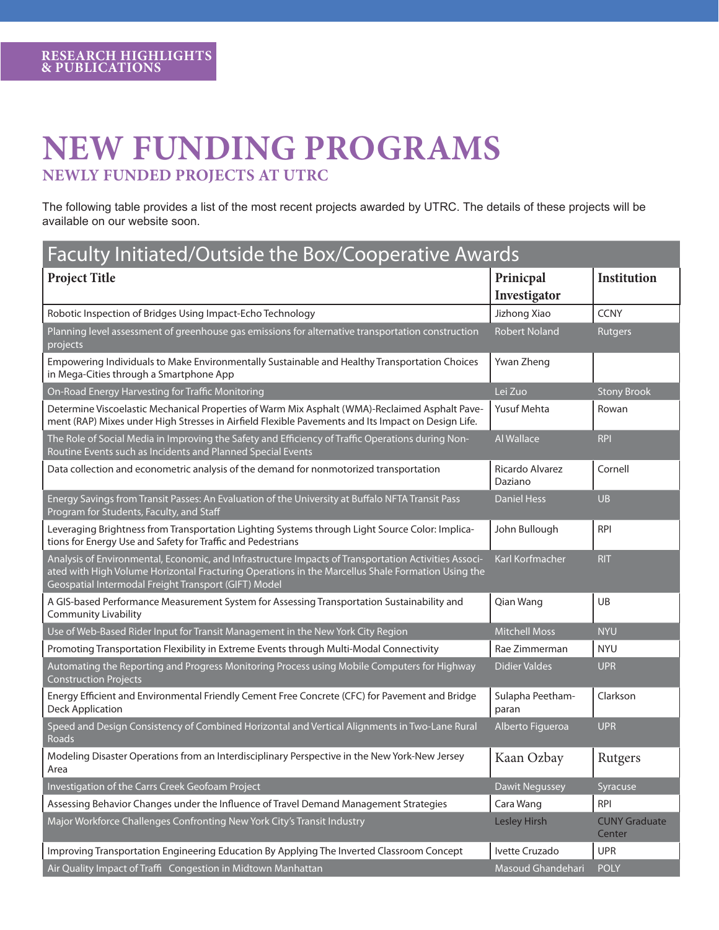## **NEW FUNDING PROGRAMS NEWLY FUNDED PROJECTS AT UTRC**

The following table provides a list of the most recent projects awarded by UTRC. The details of these projects will be available on our website soon.

| Faculty Initiated/Outside the Box/Cooperative Awards                                                                                                                                                                                                              |                            |                                |  |  |  |
|-------------------------------------------------------------------------------------------------------------------------------------------------------------------------------------------------------------------------------------------------------------------|----------------------------|--------------------------------|--|--|--|
| <b>Project Title</b>                                                                                                                                                                                                                                              | Prinicpal<br>Investigator  | Institution                    |  |  |  |
| Robotic Inspection of Bridges Using Impact-Echo Technology                                                                                                                                                                                                        | Jizhong Xiao               | <b>CCNY</b>                    |  |  |  |
| Planning level assessment of greenhouse gas emissions for alternative transportation construction<br>projects                                                                                                                                                     | <b>Robert Noland</b>       | <b>Rutgers</b>                 |  |  |  |
| Empowering Individuals to Make Environmentally Sustainable and Healthy Transportation Choices<br>in Mega-Cities through a Smartphone App                                                                                                                          | Ywan Zheng                 |                                |  |  |  |
| On-Road Energy Harvesting for Traffic Monitoring                                                                                                                                                                                                                  | Lei Zuo                    | <b>Stony Brook</b>             |  |  |  |
| Determine Viscoelastic Mechanical Properties of Warm Mix Asphalt (WMA)-Reclaimed Asphalt Pave-<br>ment (RAP) Mixes under High Stresses in Airfield Flexible Pavements and Its Impact on Design Life.                                                              | Yusuf Mehta                | Rowan                          |  |  |  |
| The Role of Social Media in Improving the Safety and Efficiency of Traffic Operations during Non-<br>Routine Events such as Incidents and Planned Special Events                                                                                                  | Al Wallace                 | <b>RPI</b>                     |  |  |  |
| Data collection and econometric analysis of the demand for nonmotorized transportation                                                                                                                                                                            | Ricardo Alvarez<br>Daziano | Cornell                        |  |  |  |
| Energy Savings from Transit Passes: An Evaluation of the University at Buffalo NFTA Transit Pass<br>Program for Students, Faculty, and Staff                                                                                                                      | <b>Daniel Hess</b>         | <b>UB</b>                      |  |  |  |
| Leveraging Brightness from Transportation Lighting Systems through Light Source Color: Implica-<br>tions for Energy Use and Safety for Traffic and Pedestrians                                                                                                    | John Bullough              | <b>RPI</b>                     |  |  |  |
| Analysis of Environmental, Economic, and Infrastructure Impacts of Transportation Activities Associ-<br>ated with High Volume Horizontal Fracturing Operations in the Marcellus Shale Formation Using the<br>Geospatial Intermodal Freight Transport (GIFT) Model | Karl Korfmacher            | <b>RIT</b>                     |  |  |  |
| A GIS-based Performance Measurement System for Assessing Transportation Sustainability and<br><b>Community Livability</b>                                                                                                                                         | Qian Wang                  | UB                             |  |  |  |
| Use of Web-Based Rider Input for Transit Management in the New York City Region                                                                                                                                                                                   | <b>Mitchell Moss</b>       | <b>NYU</b>                     |  |  |  |
| Promoting Transportation Flexibility in Extreme Events through Multi-Modal Connectivity                                                                                                                                                                           | Rae Zimmerman              | <b>NYU</b>                     |  |  |  |
| Automating the Reporting and Progress Monitoring Process using Mobile Computers for Highway<br><b>Construction Projects</b>                                                                                                                                       | <b>Didier Valdes</b>       | <b>UPR</b>                     |  |  |  |
| Energy Efficient and Environmental Friendly Cement Free Concrete (CFC) for Pavement and Bridge<br><b>Deck Application</b>                                                                                                                                         | Sulapha Peetham-<br>paran  | Clarkson                       |  |  |  |
| Speed and Design Consistency of Combined Horizontal and Vertical Alignments in Two-Lane Rural<br>Roads                                                                                                                                                            | Alberto Figueroa           | <b>UPR</b>                     |  |  |  |
| Modeling Disaster Operations from an Interdisciplinary Perspective in the New York-New Jersey<br>Area                                                                                                                                                             | Kaan Ozbay                 | Rutgers                        |  |  |  |
| Investigation of the Carrs Creek Geofoam Project                                                                                                                                                                                                                  | <b>Dawit Negussey</b>      | Syracuse                       |  |  |  |
| Assessing Behavior Changes under the Influence of Travel Demand Management Strategies                                                                                                                                                                             | Cara Wang                  | <b>RPI</b>                     |  |  |  |
| Major Workforce Challenges Confronting New York City's Transit Industry                                                                                                                                                                                           | Lesley Hirsh               | <b>CUNY Graduate</b><br>Center |  |  |  |
| Improving Transportation Engineering Education By Applying The Inverted Classroom Concept                                                                                                                                                                         | Ivette Cruzado             | <b>UPR</b>                     |  |  |  |
| Air Quality Impact of Traffi Congestion in Midtown Manhattan                                                                                                                                                                                                      | Masoud Ghandehari          | <b>POLY</b>                    |  |  |  |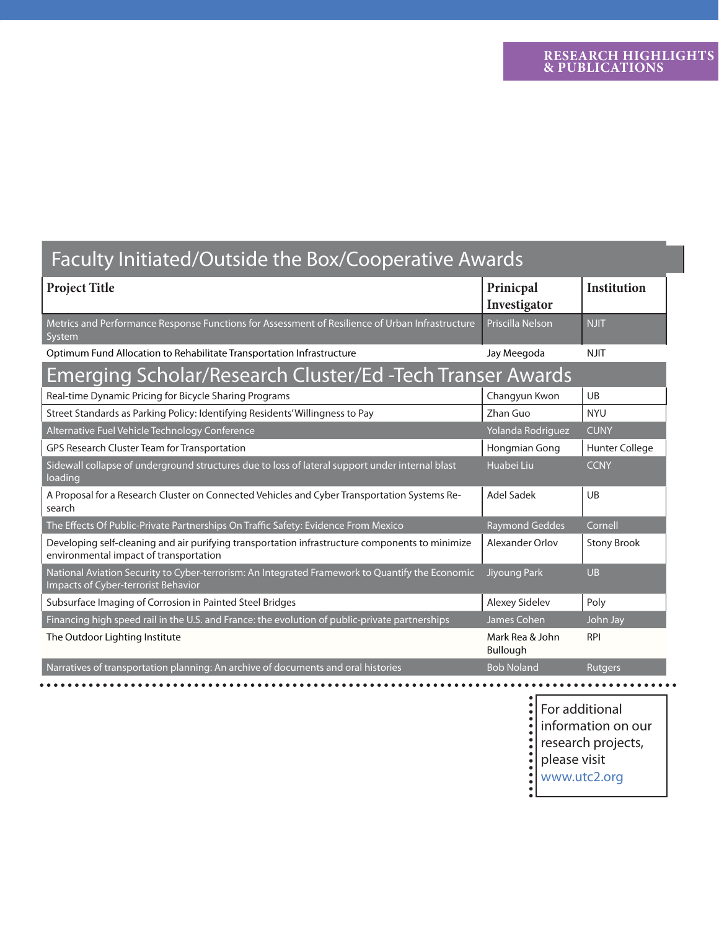# Faculty Initiated/Outside the Box/Cooperative Awards

| <b>Project Title</b>                                                                                                                          | Prinicpal<br>Investigator   | <b>Institution</b>    |  |  |  |
|-----------------------------------------------------------------------------------------------------------------------------------------------|-----------------------------|-----------------------|--|--|--|
| Metrics and Performance Response Functions for Assessment of Resilience of Urban Infrastructure<br>System                                     | Priscilla Nelson            | <b>NJIT</b>           |  |  |  |
| Optimum Fund Allocation to Rehabilitate Transportation Infrastructure                                                                         | Jay Meegoda                 | <b>NJIT</b>           |  |  |  |
| <b>Emerging Scholar/Research Cluster/Ed-Tech Transer Awards</b>                                                                               |                             |                       |  |  |  |
| Real-time Dynamic Pricing for Bicycle Sharing Programs                                                                                        | Changyun Kwon               | UB                    |  |  |  |
| Street Standards as Parking Policy: Identifying Residents' Willingness to Pay                                                                 | Zhan Guo                    | <b>NYU</b>            |  |  |  |
| Alternative Fuel Vehicle Technology Conference                                                                                                | Yolanda Rodriguez           | <b>CUNY</b>           |  |  |  |
| GPS Research Cluster Team for Transportation                                                                                                  | Hongmian Gong               | <b>Hunter College</b> |  |  |  |
| Sidewall collapse of underground structures due to loss of lateral support under internal blast<br>loading                                    | Huabei Liu                  | <b>CCNY</b>           |  |  |  |
| A Proposal for a Research Cluster on Connected Vehicles and Cyber Transportation Systems Re-<br>search                                        | <b>Adel Sadek</b>           | UB                    |  |  |  |
| The Effects Of Public-Private Partnerships On Traffic Safety: Evidence From Mexico                                                            | <b>Raymond Geddes</b>       | Cornell               |  |  |  |
| Developing self-cleaning and air purifying transportation infrastructure components to minimize<br>environmental impact of transportation     | Alexander Orlov             | <b>Stony Brook</b>    |  |  |  |
| National Aviation Security to Cyber-terrorism: An Integrated Framework to Quantify the Economic<br><b>Impacts of Cyber-terrorist Behavior</b> | Jiyoung Park                | $U$ <sub>B</sub>      |  |  |  |
| Subsurface Imaging of Corrosion in Painted Steel Bridges                                                                                      | Alexey Sidelev              | Poly                  |  |  |  |
| Financing high speed rail in the U.S. and France: the evolution of public-private partnerships                                                | James Cohen                 | John Jay              |  |  |  |
| The Outdoor Lighting Institute                                                                                                                | Mark Rea & John<br>Bullough | <b>RPI</b>            |  |  |  |
| Narratives of transportation planning: An archive of documents and oral histories                                                             | <b>Bob Noland</b>           | <b>Rutgers</b>        |  |  |  |

For additional information on our research projects,

- please visit
- www.utc2.org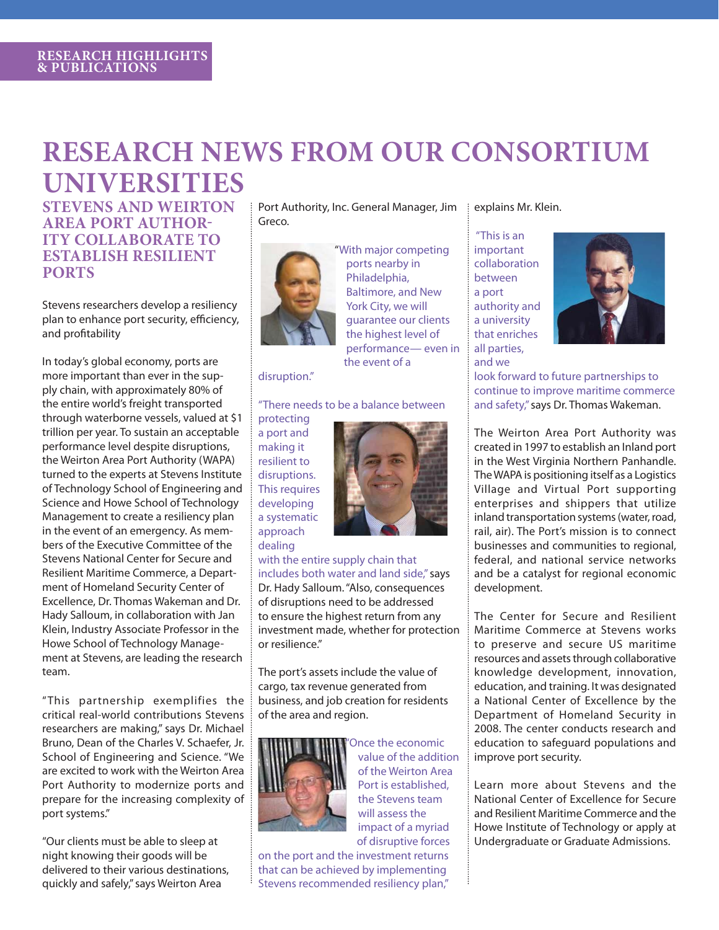# **RESEARCH NEWS FROM OUR CONSORTIUM UNIVERSITIES**

**STEVENS AND WEIRTON AREA PORT AUTHOR-ITY COLLABORATE TO ESTABLISH RESILIENT PORTS**

Stevens researchers develop a resiliency plan to enhance port security, efficiency, and profitability

In today's global economy, ports are more important than ever in the supply chain, with approximately 80% of the entire world's freight transported through waterborne vessels, valued at \$1 trillion per year. To sustain an acceptable performance level despite disruptions, the Weirton Area Port Authority (WAPA) turned to the experts at Stevens Institute of Technology School of Engineering and Science and Howe School of Technology Management to create a resiliency plan in the event of an emergency. As members of the Executive Committee of the Stevens National Center for Secure and Resilient Maritime Commerce, a Department of Homeland Security Center of Excellence, Dr. Thomas Wakeman and Dr. Hady Salloum, in collaboration with Jan Klein, Industry Associate Professor in the Howe School of Technology Management at Stevens, are leading the research team.

" This partnership exemplifies the critical real-world contributions Stevens researchers are making," says Dr. Michael Bruno, Dean of the Charles V. Schaefer, Jr. School of Engineering and Science. "We are excited to work with the Weirton Area Port Authority to modernize ports and prepare for the increasing complexity of port systems."

"Our clients must be able to sleep at night knowing their goods will be delivered to their various destinations, quickly and safely," says Weirton Area

Port Authority, Inc. General Manager, Jim Greco.



"With major competing ports nearby in Philadelphia, Baltimore, and New York City, we will guarantee our clients the highest level of performance— even in the event of a

#### disruption."

#### "There needs to be a balance between

protecting a port and making it resilient to disruptions. This requires developing a systematic approach dealing



with the entire supply chain that includes both water and land side," says Dr. Hady Salloum. "Also, consequences of disruptions need to be addressed to ensure the highest return from any investment made, whether for protection or resilience."

The port's assets include the value of cargo, tax revenue generated from business, and job creation for residents of the area and region.



value of the addition of the Weirton Area Port is established, the Stevens team will assess the impact of a myriad of disruptive forces

Once the economic

on the port and the investment returns that can be achieved by implementing Stevens recommended resiliency plan,"

explains Mr. Klein.

"This is an important collaboration between a port authority and a university that enriches all parties, and we



look forward to future partnerships to continue to improve maritime commerce and safety," says Dr. Thomas Wakeman.

The Weirton Area Port Authority was created in 1997 to establish an Inland port in the West Virginia Northern Panhandle. The WAPA is positioning itself as a Logistics Village and Virtual Port supporting enterprises and shippers that utilize inland transportation systems (water, road, rail, air). The Port's mission is to connect businesses and communities to regional, federal, and national service networks and be a catalyst for regional economic development.

The Center for Secure and Resilient Maritime Commerce at Stevens works to preserve and secure US maritime resources and assets through collaborative knowledge development, innovation, education, and training. It was designated a National Center of Excellence by the Department of Homeland Security in 2008. The center conducts research and education to safeguard populations and improve port security.

Learn more about Stevens and the National Center of Excellence for Secure and Resilient Maritime Commerce and the Howe Institute of Technology or apply at Undergraduate or Graduate Admissions.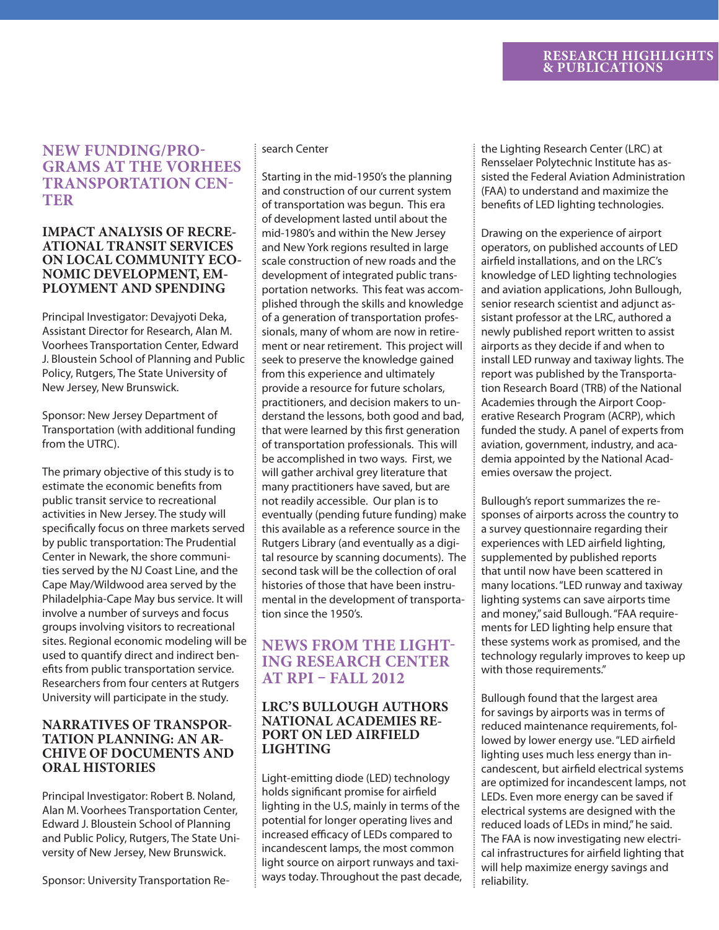#### **RESEARCH HIGHLIGHTS & PUBLICATIONS**

#### **NEW FUNDING/PRO-GRAMS AT THE VORHEES TRANSPORTATION CEN-TER**

#### **IMPACT ANALYSIS OF RECRE-ATIONAL TRANSIT SERVICES ON LOCAL COMMUNITY ECO-NOMIC DEVELOPMENT, EM-PLOYMENT AND SPENDING**

Principal Investigator: Devajyoti Deka, Assistant Director for Research, Alan M. Voorhees Transportation Center, Edward J. Bloustein School of Planning and Public Policy, Rutgers, The State University of New Jersey, New Brunswick.

Sponsor: New Jersey Department of Transportation (with additional funding from the UTRC).

The primary objective of this study is to estimate the economic benefits from public transit service to recreational activities in New Jersey. The study will specifically focus on three markets served by public transportation: The Prudential Center in Newark, the shore communities served by the NJ Coast Line, and the Cape May/Wildwood area served by the Philadelphia-Cape May bus service. It will involve a number of surveys and focus groups involving visitors to recreational sites. Regional economic modeling will be used to quantify direct and indirect benefits from public transportation service. Researchers from four centers at Rutgers University will participate in the study.

#### **NARRATIVES OF TRANSPOR-TATION PLANNING: AN AR-CHIVE OF DOCUMENTS AND ORAL HISTORIES**

Principal Investigator: Robert B. Noland, Alan M. Voorhees Transportation Center, Edward J. Bloustein School of Planning and Public Policy, Rutgers, The State University of New Jersey, New Brunswick.

Sponsor: University Transportation Re-

#### search Center

Starting in the mid-1950's the planning and construction of our current system of transportation was begun. This era of development lasted until about the mid-1980's and within the New Jersey and New York regions resulted in large scale construction of new roads and the development of integrated public transportation networks. This feat was accomplished through the skills and knowledge of a generation of transportation professionals, many of whom are now in retirement or near retirement. This project will seek to preserve the knowledge gained from this experience and ultimately provide a resource for future scholars, practitioners, and decision makers to understand the lessons, both good and bad, that were learned by this first generation of transportation professionals. This will be accomplished in two ways. First, we will gather archival grey literature that many practitioners have saved, but are not readily accessible. Our plan is to eventually (pending future funding) make this available as a reference source in the Rutgers Library (and eventually as a digital resource by scanning documents). The second task will be the collection of oral histories of those that have been instrumental in the development of transportation since the 1950's.

#### **NEWS FROM THE LIGHT-ING RESEARCH CENTER AT RPI – FALL 2012**

#### **LRC'S BULLOUGH AUTHORS NATIONAL ACADEMIES RE-PORT ON LED AIRFIELD LIGHTING**

Light-emitting diode (LED) technology holds significant promise for airfield lighting in the U.S, mainly in terms of the potential for longer operating lives and increased efficacy of LEDs compared to incandescent lamps, the most common light source on airport runways and taxiways today. Throughout the past decade, the Lighting Research Center (LRC) at Rensselaer Polytechnic Institute has assisted the Federal Aviation Administration (FAA) to understand and maximize the benefits of LED lighting technologies.

Drawing on the experience of airport operators, on published accounts of LED airfield installations, and on the LRC's knowledge of LED lighting technologies and aviation applications, John Bullough, senior research scientist and adjunct assistant professor at the LRC, authored a newly published report written to assist airports as they decide if and when to install LED runway and taxiway lights. The report was published by the Transportation Research Board (TRB) of the National Academies through the Airport Cooperative Research Program (ACRP), which funded the study. A panel of experts from aviation, government, industry, and academia appointed by the National Academies oversaw the project.

Bullough's report summarizes the responses of airports across the country to a survey questionnaire regarding their experiences with LED airfield lighting, supplemented by published reports that until now have been scattered in many locations. "LED runway and taxiway lighting systems can save airports time and money," said Bullough. "FAA requirements for LED lighting help ensure that these systems work as promised, and the technology regularly improves to keep up with those requirements."

Bullough found that the largest area for savings by airports was in terms of reduced maintenance requirements, followed by lower energy use. "LED airfield lighting uses much less energy than incandescent, but airfield electrical systems are optimized for incandescent lamps, not LEDs. Even more energy can be saved if electrical systems are designed with the reduced loads of LEDs in mind," he said. The FAA is now investigating new electrical infrastructures for airfield lighting that will help maximize energy savings and reliability.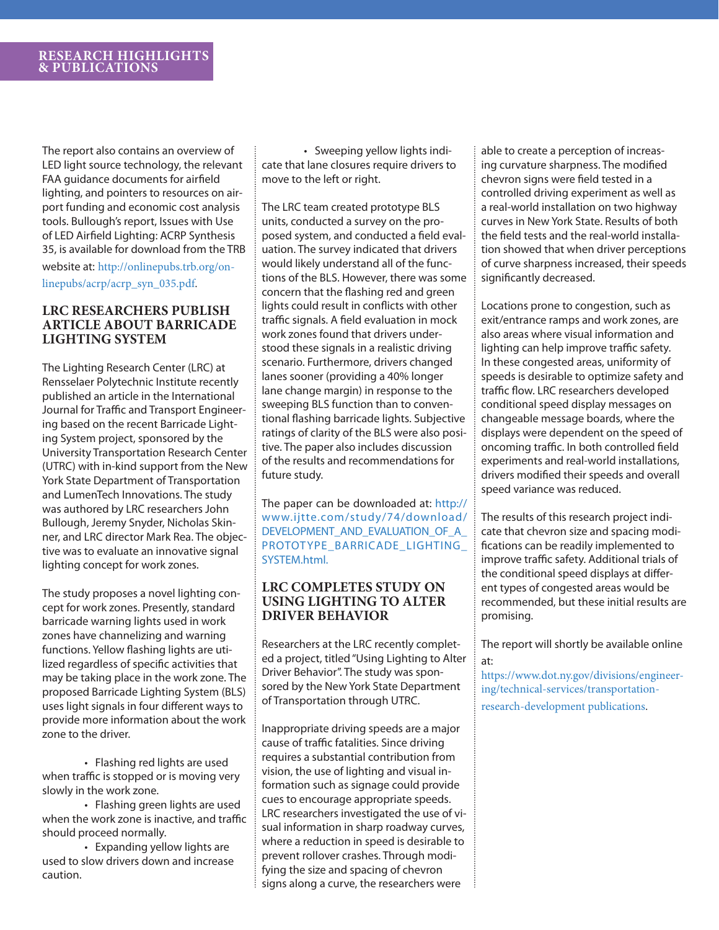The report also contains an overview of LED light source technology, the relevant FAA guidance documents for airfield lighting, and pointers to resources on airport funding and economic cost analysis tools. Bullough's report, Issues with Use of LED Airfield Lighting: ACRP Synthesis 35, is available for download from the TRB website at: http://onlinepubs.trb.org/onlinepubs/acrp/acrp\_syn\_035.pdf.

#### **LRC RESEARCHERS PUBLISH ARTICLE ABOUT BARRICADE LIGHTING SYSTEM**

The Lighting Research Center (LRC) at Rensselaer Polytechnic Institute recently published an article in the International Journal for Traffic and Transport Engineering based on the recent Barricade Lighting System project, sponsored by the University Transportation Research Center (UTRC) with in-kind support from the New York State Department of Transportation and LumenTech Innovations. The study was authored by LRC researchers John Bullough, Jeremy Snyder, Nicholas Skinner, and LRC director Mark Rea. The objective was to evaluate an innovative signal lighting concept for work zones.

The study proposes a novel lighting concept for work zones. Presently, standard barricade warning lights used in work zones have channelizing and warning functions. Yellow flashing lights are utilized regardless of specific activities that may be taking place in the work zone. The proposed Barricade Lighting System (BLS) uses light signals in four different ways to provide more information about the work zone to the driver.

 • Flashing red lights are used when traffic is stopped or is moving very slowly in the work zone.

 • Flashing green lights are used when the work zone is inactive, and traffic should proceed normally.

 • Expanding yellow lights are used to slow drivers down and increase caution.

 • Sweeping yellow lights indicate that lane closures require drivers to move to the left or right.

The LRC team created prototype BLS units, conducted a survey on the proposed system, and conducted a field evaluation. The survey indicated that drivers would likely understand all of the functions of the BLS. However, there was some concern that the flashing red and green lights could result in conflicts with other traffic signals. A field evaluation in mock work zones found that drivers understood these signals in a realistic driving scenario. Furthermore, drivers changed lanes sooner (providing a 40% longer lane change margin) in response to the sweeping BLS function than to conventional flashing barricade lights. Subjective ratings of clarity of the BLS were also positive. The paper also includes discussion of the results and recommendations for future study.

The paper can be downloaded at: http:// www.ijtte.com/study/74/download/ DEVELOPMENT\_AND\_EVALUATION\_OF\_A PROTOTYPE\_BARRICADE\_LIGHTING\_ SYSTEM.html.

#### **LRC COMPLETES STUDY ON USING LIGHTING TO ALTER DRIVER BEHAVIOR**

Researchers at the LRC recently completed a project, titled "Using Lighting to Alter Driver Behavior". The study was sponsored by the New York State Department of Transportation through UTRC.

Inappropriate driving speeds are a major cause of traffic fatalities. Since driving requires a substantial contribution from vision, the use of lighting and visual information such as signage could provide cues to encourage appropriate speeds. LRC researchers investigated the use of visual information in sharp roadway curves, where a reduction in speed is desirable to prevent rollover crashes. Through modifying the size and spacing of chevron signs along a curve, the researchers were

able to create a perception of increasing curvature sharpness. The modified chevron signs were field tested in a controlled driving experiment as well as a real-world installation on two highway curves in New York State. Results of both the field tests and the real-world installation showed that when driver perceptions of curve sharpness increased, their speeds significantly decreased.

Locations prone to congestion, such as exit/entrance ramps and work zones, are also areas where visual information and lighting can help improve traffic safety. In these congested areas, uniformity of speeds is desirable to optimize safety and traffic flow. LRC researchers developed conditional speed display messages on changeable message boards, where the displays were dependent on the speed of oncoming traffic. In both controlled field experiments and real-world installations, drivers modified their speeds and overall speed variance was reduced.

The results of this research project indicate that chevron size and spacing modifications can be readily implemented to improve traffic safety. Additional trials of the conditional speed displays at different types of congested areas would be recommended, but these initial results are promising.

The report will shortly be available online at:

https://www.dot.ny.gov/divisions/engineering/technical-services/transportationresearch-development publications.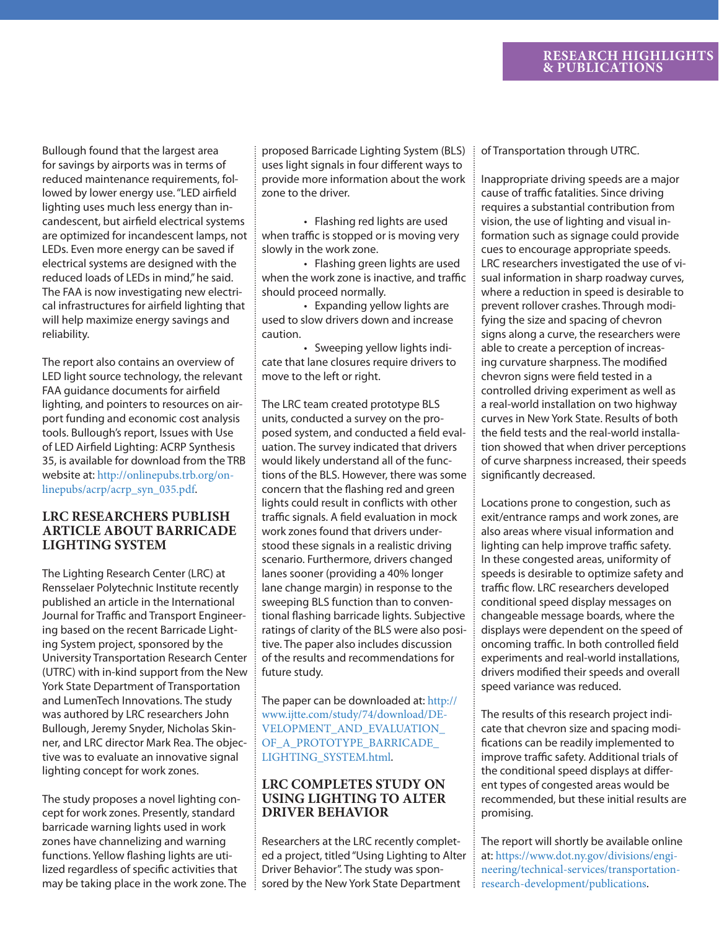Bullough found that the largest area for savings by airports was in terms of reduced maintenance requirements, followed by lower energy use. "LED airfield lighting uses much less energy than incandescent, but airfield electrical systems are optimized for incandescent lamps, not LEDs. Even more energy can be saved if electrical systems are designed with the reduced loads of LEDs in mind," he said. The FAA is now investigating new electrical infrastructures for airfield lighting that will help maximize energy savings and reliability.

The report also contains an overview of LED light source technology, the relevant FAA guidance documents for airfield lighting, and pointers to resources on airport funding and economic cost analysis tools. Bullough's report, Issues with Use of LED Airfield Lighting: ACRP Synthesis 35, is available for download from the TRB website at: http://onlinepubs.trb.org/onlinepubs/acrp/acrp\_syn\_035.pdf.

#### **LRC RESEARCHERS PUBLISH ARTICLE ABOUT BARRICADE LIGHTING SYSTEM**

The Lighting Research Center (LRC) at Rensselaer Polytechnic Institute recently published an article in the International Journal for Traffic and Transport Engineering based on the recent Barricade Lighting System project, sponsored by the University Transportation Research Center (UTRC) with in-kind support from the New York State Department of Transportation and LumenTech Innovations. The study was authored by LRC researchers John Bullough, Jeremy Snyder, Nicholas Skinner, and LRC director Mark Rea. The objective was to evaluate an innovative signal lighting concept for work zones.

The study proposes a novel lighting concept for work zones. Presently, standard barricade warning lights used in work zones have channelizing and warning functions. Yellow flashing lights are utilized regardless of specific activities that may be taking place in the work zone. The proposed Barricade Lighting System (BLS) uses light signals in four different ways to provide more information about the work zone to the driver.

 • Flashing red lights are used when traffic is stopped or is moving very slowly in the work zone.

 • Flashing green lights are used when the work zone is inactive, and traffic should proceed normally.

 • Expanding yellow lights are used to slow drivers down and increase caution.

 • Sweeping yellow lights indicate that lane closures require drivers to move to the left or right.

The LRC team created prototype BLS units, conducted a survey on the proposed system, and conducted a field evaluation. The survey indicated that drivers would likely understand all of the functions of the BLS. However, there was some concern that the flashing red and green lights could result in conflicts with other traffic signals. A field evaluation in mock work zones found that drivers understood these signals in a realistic driving scenario. Furthermore, drivers changed lanes sooner (providing a 40% longer lane change margin) in response to the sweeping BLS function than to conventional flashing barricade lights. Subjective ratings of clarity of the BLS were also positive. The paper also includes discussion of the results and recommendations for future study.

The paper can be downloaded at: http:// www.ijtte.com/study/74/download/DE-VELOPMENT\_AND\_EVALUATION\_ OF\_A\_PROTOTYPE\_BARRICADE\_ LIGHTING\_SYSTEM.html.

#### **LRC COMPLETES STUDY ON USING LIGHTING TO ALTER DRIVER BEHAVIOR**

Researchers at the LRC recently completed a project, titled "Using Lighting to Alter Driver Behavior". The study was sponsored by the New York State Department

of Transportation through UTRC.

Inappropriate driving speeds are a major cause of traffic fatalities. Since driving requires a substantial contribution from vision, the use of lighting and visual information such as signage could provide cues to encourage appropriate speeds. LRC researchers investigated the use of visual information in sharp roadway curves, where a reduction in speed is desirable to prevent rollover crashes. Through modifying the size and spacing of chevron signs along a curve, the researchers were able to create a perception of increasing curvature sharpness. The modified chevron signs were field tested in a controlled driving experiment as well as a real-world installation on two highway curves in New York State. Results of both the field tests and the real-world installation showed that when driver perceptions of curve sharpness increased, their speeds significantly decreased.

Locations prone to congestion, such as exit/entrance ramps and work zones, are also areas where visual information and lighting can help improve traffic safety. In these congested areas, uniformity of speeds is desirable to optimize safety and traffic flow. LRC researchers developed conditional speed display messages on changeable message boards, where the displays were dependent on the speed of oncoming traffic. In both controlled field experiments and real-world installations, drivers modified their speeds and overall speed variance was reduced.

The results of this research project indicate that chevron size and spacing modifications can be readily implemented to improve traffic safety. Additional trials of the conditional speed displays at different types of congested areas would be recommended, but these initial results are promising.

The report will shortly be available online at: https://www.dot.ny.gov/divisions/engineering/technical-services/transportationresearch-development/publications.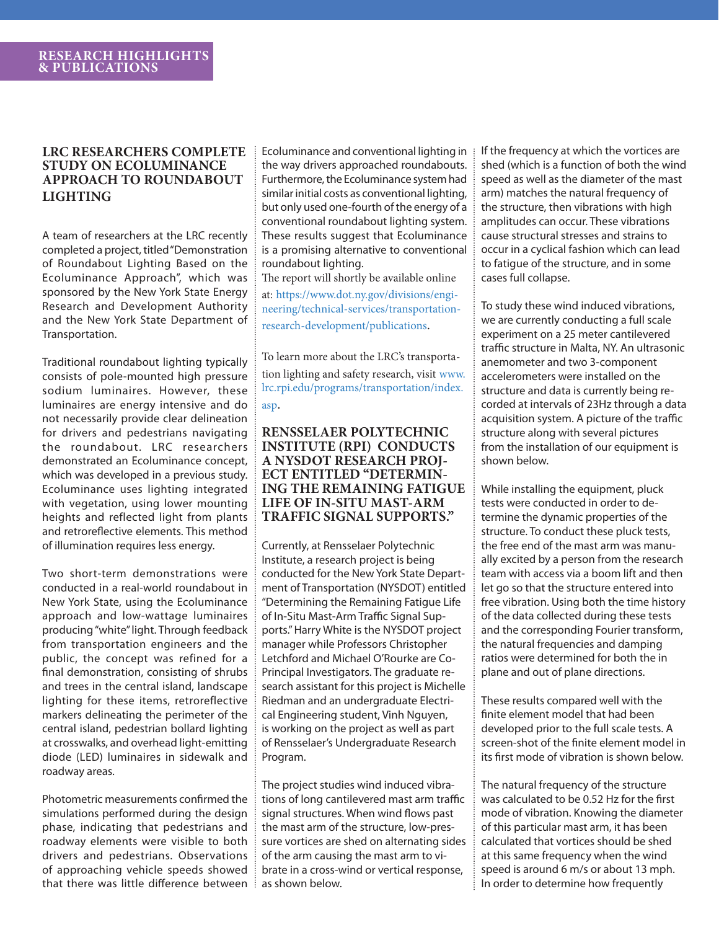#### **LRC RESEARCHERS COMPLETE STUDY ON ECOLUMINANCE APPROACH TO ROUNDABOUT LIGHTING**

A team of researchers at the LRC recently completed a project, titled "Demonstration of Roundabout Lighting Based on the Ecoluminance Approach", which was sponsored by the New York State Energy Research and Development Authority and the New York State Department of Transportation.

Traditional roundabout lighting typically consists of pole-mounted high pressure sodium luminaires. However, these luminaires are energy intensive and do not necessarily provide clear delineation for drivers and pedestrians navigating the roundabout. LRC researchers demonstrated an Ecoluminance concept, which was developed in a previous study. Ecoluminance uses lighting integrated with vegetation, using lower mounting heights and reflected light from plants and retroreflective elements. This method of illumination requires less energy.

Two short-term demonstrations were conducted in a real-world roundabout in New York State, using the Ecoluminance approach and low-wattage luminaires producing "white" light. Through feedback from transportation engineers and the public, the concept was refined for a final demonstration, consisting of shrubs and trees in the central island, landscape lighting for these items, retroreflective markers delineating the perimeter of the central island, pedestrian bollard lighting at crosswalks, and overhead light-emitting diode (LED) luminaires in sidewalk and roadway areas.

Photometric measurements confirmed the simulations performed during the design phase, indicating that pedestrians and roadway elements were visible to both drivers and pedestrians. Observations of approaching vehicle speeds showed that there was little difference between ! as shown below.

Ecoluminance and conventional lighting in the way drivers approached roundabouts. Furthermore, the Ecoluminance system had similar initial costs as conventional lighting, but only used one-fourth of the energy of a conventional roundabout lighting system. These results suggest that Ecoluminance is a promising alternative to conventional roundabout lighting.

The report will shortly be available online at: https://www.dot.ny.gov/divisions/engineering/technical-services/transportationresearch-development/publications.

To learn more about the LRC's transportation lighting and safety research, visit www. lrc.rpi.edu/programs/transportation/index. asp.

#### **RENSSELAER POLYTECHNIC INSTITUTE (RPI) CONDUCTS A NYSDOT RESEARCH PROJ-ECT ENTITLED "DETERMIN-ING THE REMAINING FATIGUE LIFE OF IN-SITU MAST-ARM TRAFFIC SIGNAL SUPPORTS."**

Currently, at Rensselaer Polytechnic Institute, a research project is being conducted for the New York State Department of Transportation (NYSDOT) entitled "Determining the Remaining Fatigue Life of In-Situ Mast-Arm Traffic Signal Supports." Harry White is the NYSDOT project manager while Professors Christopher Letchford and Michael O'Rourke are Co-Principal Investigators. The graduate research assistant for this project is Michelle Riedman and an undergraduate Electrical Engineering student, Vinh Nguyen, is working on the project as well as part of Rensselaer's Undergraduate Research Program.

The project studies wind induced vibrations of long cantilevered mast arm traffic signal structures. When wind flows past the mast arm of the structure, low-pressure vortices are shed on alternating sides of the arm causing the mast arm to vibrate in a cross-wind or vertical response,

If the frequency at which the vortices are shed (which is a function of both the wind speed as well as the diameter of the mast arm) matches the natural frequency of the structure, then vibrations with high amplitudes can occur. These vibrations cause structural stresses and strains to occur in a cyclical fashion which can lead to fatigue of the structure, and in some cases full collapse.

To study these wind induced vibrations, we are currently conducting a full scale experiment on a 25 meter cantilevered traffic structure in Malta, NY. An ultrasonic anemometer and two 3-component accelerometers were installed on the structure and data is currently being recorded at intervals of 23Hz through a data acquisition system. A picture of the traffic structure along with several pictures from the installation of our equipment is shown below.

While installing the equipment, pluck tests were conducted in order to determine the dynamic properties of the structure. To conduct these pluck tests, the free end of the mast arm was manually excited by a person from the research team with access via a boom lift and then let go so that the structure entered into free vibration. Using both the time history of the data collected during these tests and the corresponding Fourier transform, the natural frequencies and damping ratios were determined for both the in plane and out of plane directions.

These results compared well with the finite element model that had been developed prior to the full scale tests. A screen-shot of the finite element model in its first mode of vibration is shown below.

The natural frequency of the structure was calculated to be 0.52 Hz for the first mode of vibration. Knowing the diameter of this particular mast arm, it has been calculated that vortices should be shed at this same frequency when the wind speed is around 6 m/s or about 13 mph. In order to determine how frequently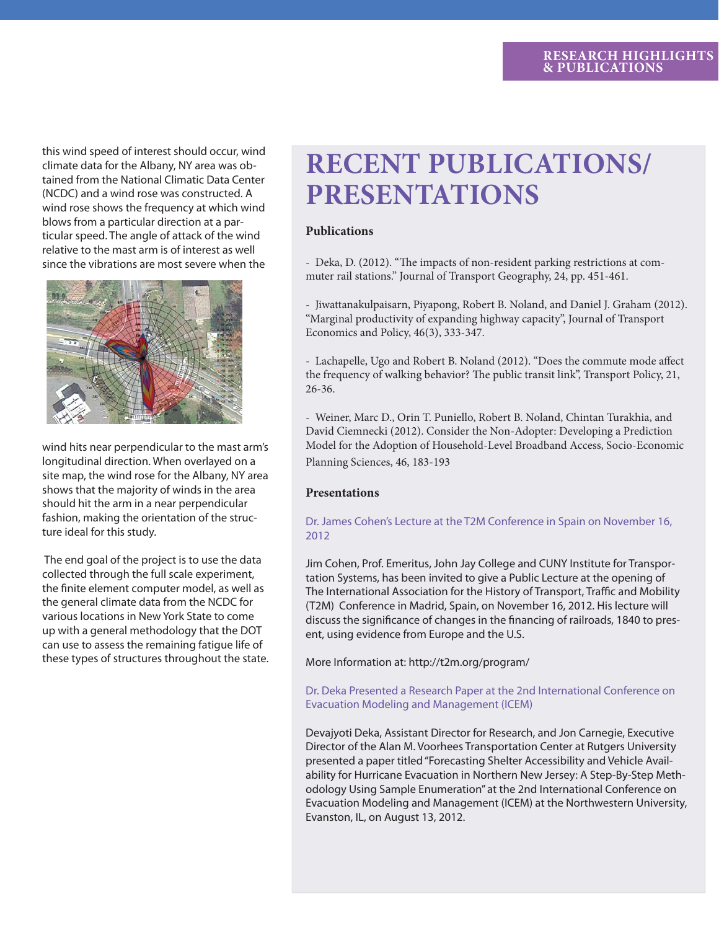this wind speed of interest should occur, wind climate data for the Albany, NY area was obtained from the National Climatic Data Center (NCDC) and a wind rose was constructed. A wind rose shows the frequency at which wind blows from a particular direction at a particular speed. The angle of attack of the wind relative to the mast arm is of interest as well since the vibrations are most severe when the



wind hits near perpendicular to the mast arm's longitudinal direction. When overlayed on a site map, the wind rose for the Albany, NY area shows that the majority of winds in the area should hit the arm in a near perpendicular fashion, making the orientation of the structure ideal for this study.

 The end goal of the project is to use the data collected through the full scale experiment, the finite element computer model, as well as the general climate data from the NCDC for various locations in New York State to come up with a general methodology that the DOT can use to assess the remaining fatigue life of these types of structures throughout the state.

# **RECENT PUBLICATIONS/ PRESENTATIONS**

#### **Publications**

- Deka, D. (2012). "The impacts of non-resident parking restrictions at commuter rail stations." Journal of Transport Geography, 24, pp. 451-461.

- Jiwattanakulpaisarn, Piyapong, Robert B. Noland, and Daniel J. Graham (2012). "Marginal productivity of expanding highway capacity", Journal of Transport Economics and Policy, 46(3), 333-347.

- Lachapelle, Ugo and Robert B. Noland (2012). "Does the commute mode affect the frequency of walking behavior? The public transit link", Transport Policy, 21, 26-36.

- Weiner, Marc D., Orin T. Puniello, Robert B. Noland, Chintan Turakhia, and David Ciemnecki (2012). Consider the Non-Adopter: Developing a Prediction Model for the Adoption of Household-Level Broadband Access, Socio-Economic Planning Sciences, 46, 183-193

#### **Presentations**

#### Dr. James Cohen's Lecture at the T2M Conference in Spain on November 16, 2012

Jim Cohen, Prof. Emeritus, John Jay College and CUNY Institute for Transportation Systems, has been invited to give a Public Lecture at the opening of The International Association for the History of Transport, Traffic and Mobility (T2M) Conference in Madrid, Spain, on November 16, 2012. His lecture will discuss the significance of changes in the financing of railroads, 1840 to present, using evidence from Europe and the U.S.

More Information at: http://t2m.org/program/

#### Dr. Deka Presented a Research Paper at the 2nd International Conference on Evacuation Modeling and Management (ICEM)

Devajyoti Deka, Assistant Director for Research, and Jon Carnegie, Executive Director of the Alan M. Voorhees Transportation Center at Rutgers University presented a paper titled "Forecasting Shelter Accessibility and Vehicle Availability for Hurricane Evacuation in Northern New Jersey: A Step-By-Step Methodology Using Sample Enumeration" at the 2nd International Conference on Evacuation Modeling and Management (ICEM) at the Northwestern University, Evanston, IL, on August 13, 2012.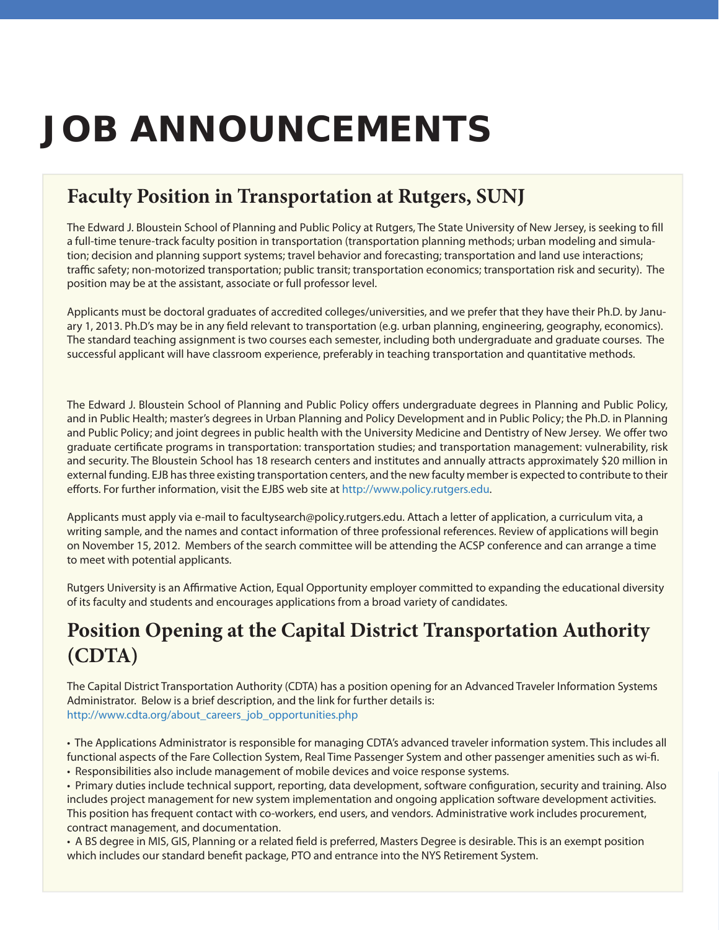# **JOB ANNOUNCEMENTS**

### **Faculty Position in Transportation at Rutgers, SUNJ**

The Edward J. Bloustein School of Planning and Public Policy at Rutgers, The State University of New Jersey, is seeking to fill a full-time tenure-track faculty position in transportation (transportation planning methods; urban modeling and simulation; decision and planning support systems; travel behavior and forecasting; transportation and land use interactions; traffic safety; non-motorized transportation; public transit; transportation economics; transportation risk and security). The position may be at the assistant, associate or full professor level.

Applicants must be doctoral graduates of accredited colleges/universities, and we prefer that they have their Ph.D. by January 1, 2013. Ph.D's may be in any field relevant to transportation (e.g. urban planning, engineering, geography, economics). The standard teaching assignment is two courses each semester, including both undergraduate and graduate courses. The successful applicant will have classroom experience, preferably in teaching transportation and quantitative methods.

The Edward J. Bloustein School of Planning and Public Policy offers undergraduate degrees in Planning and Public Policy, and in Public Health; master's degrees in Urban Planning and Policy Development and in Public Policy; the Ph.D. in Planning and Public Policy; and joint degrees in public health with the University Medicine and Dentistry of New Jersey. We offer two graduate certificate programs in transportation: transportation studies; and transportation management: vulnerability, risk and security. The Bloustein School has 18 research centers and institutes and annually attracts approximately \$20 million in external funding. EJB has three existing transportation centers, and the new faculty member is expected to contribute to their efforts. For further information, visit the EJBS web site at http://www.policy.rutgers.edu.

Applicants must apply via e-mail to facultysearch@policy.rutgers.edu. Attach a letter of application, a curriculum vita, a writing sample, and the names and contact information of three professional references. Review of applications will begin on November 15, 2012. Members of the search committee will be attending the ACSP conference and can arrange a time to meet with potential applicants.

Rutgers University is an Affirmative Action, Equal Opportunity employer committed to expanding the educational diversity of its faculty and students and encourages applications from a broad variety of candidates.

## **Position Opening at the Capital District Transportation Authority (CDTA)**

The Capital District Transportation Authority (CDTA) has a position opening for an Advanced Traveler Information Systems Administrator. Below is a brief description, and the link for further details is: http://www.cdta.org/about\_careers\_job\_opportunities.php

• The Applications Administrator is responsible for managing CDTA's advanced traveler information system. This includes all functional aspects of the Fare Collection System, Real Time Passenger System and other passenger amenities such as wi-fi. • Responsibilities also include management of mobile devices and voice response systems.

• Primary duties include technical support, reporting, data development, software configuration, security and training. Also includes project management for new system implementation and ongoing application software development activities. This position has frequent contact with co-workers, end users, and vendors. Administrative work includes procurement, contract management, and documentation.

• A BS degree in MIS, GIS, Planning or a related field is preferred, Masters Degree is desirable. This is an exempt position which includes our standard benefit package, PTO and entrance into the NYS Retirement System.